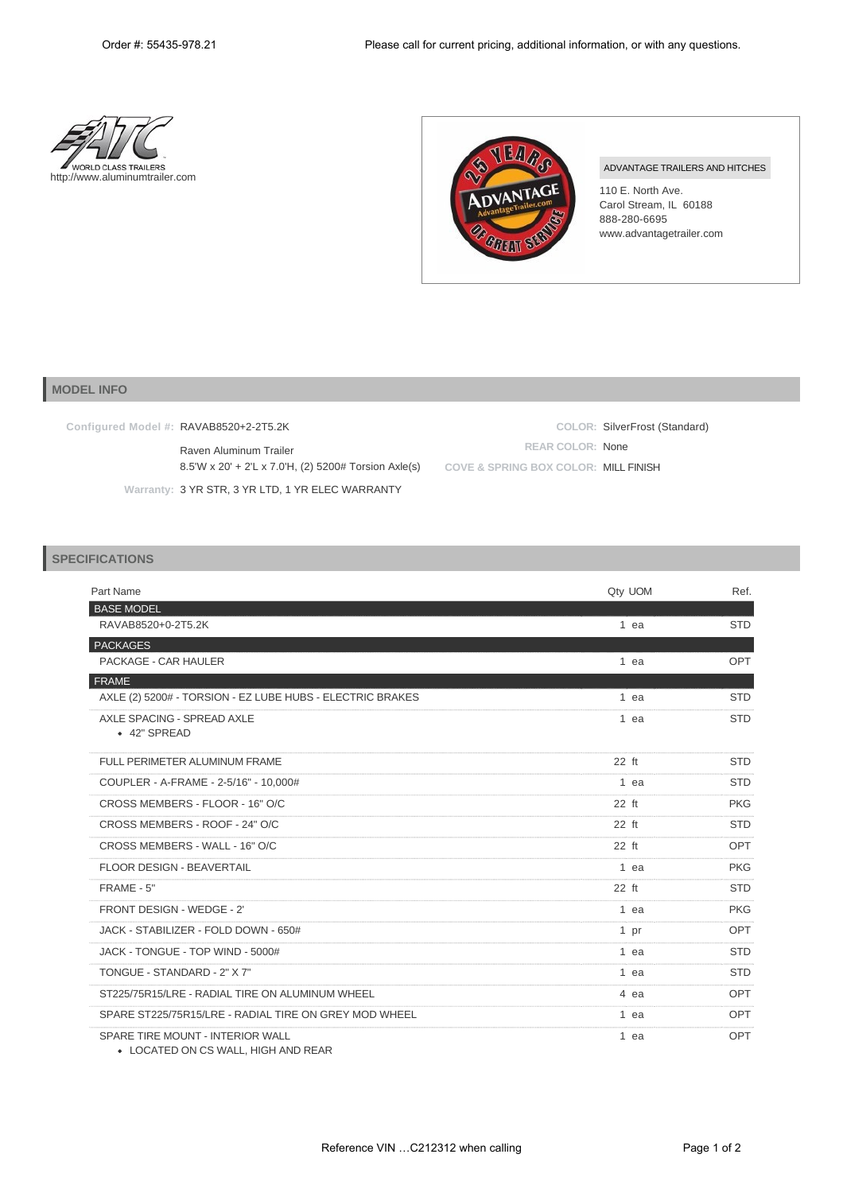



## ADVANTAGE TRAILERS AND HITCHES

110 E. North Ave. Carol Stream, IL 60188 888-280-6695 www.advantagetrailer.com

## **MODEL INFO**

| Configured Model #: <b>RAVAB8520+2-2T5.2K</b>        |                                      | COLOR: SilverFrost (Standard) |
|------------------------------------------------------|--------------------------------------|-------------------------------|
| Raven Aluminum Trailer                               | <b>REAR COLOR: None</b>              |                               |
| 8.5'W x 20' + 2'L x 7.0'H, (2) 5200# Torsion Axle(s) | COVE & SPRING BOX COLOR: MILL FINISH |                               |
| Warranty: 3 YR STR, 3 YR LTD, 1 YR ELEC WARRANTY     |                                      |                               |

## **SPECIFICATIONS**

| Part Name                                                               | Qty UOM | Ref.       |
|-------------------------------------------------------------------------|---------|------------|
| <b>BASE MODEL</b>                                                       |         |            |
| RAVAB8520+0-2T5.2K                                                      | 1 ea    | <b>STD</b> |
| <b>PACKAGES</b>                                                         |         |            |
| PACKAGE - CAR HAULER                                                    | 1 ea    | OPT        |
| <b>FRAME</b>                                                            |         |            |
| AXLE (2) 5200# - TORSION - EZ LUBE HUBS - ELECTRIC BRAKES               | 1 ea    | <b>STD</b> |
| AXLE SPACING - SPREAD AXLE<br>• 42" SPREAD                              | $1$ ea  | <b>STD</b> |
| FULL PERIMETER ALUMINUM FRAME                                           | $22$ ft | <b>STD</b> |
| COUPLER - A-FRAME - 2-5/16" - 10,000#                                   | 1 ea    | <b>STD</b> |
| CROSS MEMBERS - FLOOR - 16" O/C                                         | 22 ft   | <b>PKG</b> |
| CROSS MEMBERS - ROOF - 24" O/C                                          | 22 ft   | <b>STD</b> |
| CROSS MEMBERS - WALL - 16" O/C                                          | $22$ ft | OPT        |
| <b>FLOOR DESIGN - BEAVERTAIL</b>                                        | $1$ ea  | <b>PKG</b> |
| FRAME - 5"                                                              | 22 ft   | <b>STD</b> |
| FRONT DESIGN - WEDGE - 2'                                               | $1$ ea  | <b>PKG</b> |
| JACK - STABILIZER - FOLD DOWN - 650#                                    | 1 pr    | <b>OPT</b> |
| JACK - TONGUE - TOP WIND - 5000#                                        | 1 ea    | <b>STD</b> |
| TONGUE - STANDARD - 2" X 7"                                             | 1 ea    | <b>STD</b> |
| ST225/75R15/LRE - RADIAL TIRE ON ALUMINUM WHEEL                         | 4 ea    | <b>OPT</b> |
| SPARE ST225/75R15/LRE - RADIAL TIRE ON GREY MOD WHEEL                   | 1 ea    | <b>OPT</b> |
| SPARE TIRE MOUNT - INTERIOR WALL<br>• LOCATED ON CS WALL, HIGH AND REAR | 1 ea    | OPT        |